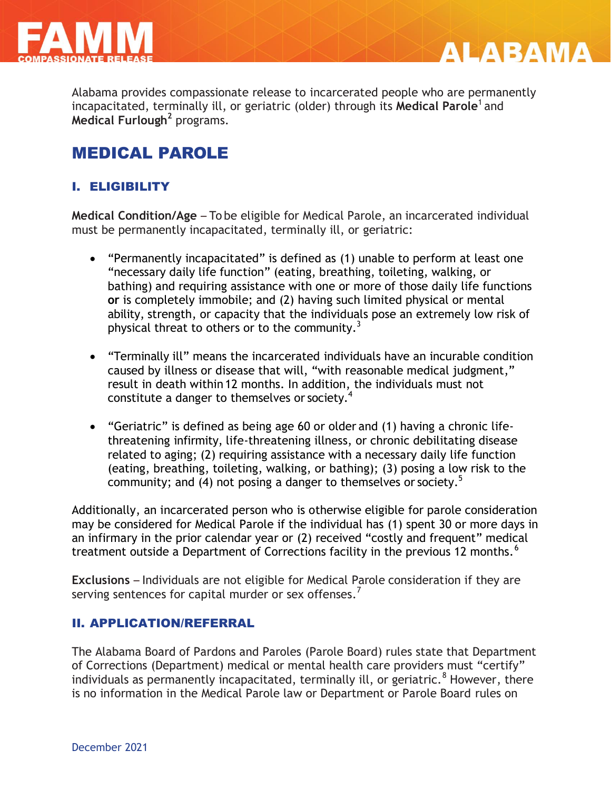

Alabama provides compassionate release to incarcerated people who are permanently incapacitated, terminally ill, or geriatric (older) through its **Medical Parole**<sup>1</sup> and **Medical Furlough<sup>2</sup>** programs.

**ALABAMA** 

# MEDICAL PAROLE

## I. ELIGIBILITY

**Medical Condition/Age** – To be eligible for Medical Parole, an incarcerated individual must be permanently incapacitated, terminally ill, or geriatric:

- "Permanently incapacitated" is defined as (1) unable to perform at least one "necessary daily life function" (eating, breathing, toileting, walking, or bathing) and requiring assistance with one or more of those daily life functions **or** is completely immobile; and (2) having such limited physical or mental ability, strength, or capacity that the individuals pose an extremely low risk of physical threat to others or to the community. $3$
- "Terminally ill" means the incarcerated individuals have an incurable condition caused by illness or disease that will, "with reasonable medical judgment," result in death within 12 months. In addition, the individuals must not constitute a danger to themselves or society.<sup>4</sup>
- "Geriatric" is defined as being age 60 or older and (1) having a chronic lifethreatening infirmity, life-threatening illness, or chronic debilitating disease related to aging; (2) requiring assistance with a necessary daily life function (eating, breathing, toileting, walking, or bathing); (3) posing a low risk to the community; and (4) not posing a danger to themselves or society.<sup>5</sup>

Additionally, an incarcerated person who is otherwise eligible for parole consideration may be considered for Medical Parole if the individual has (1) spent 30 or more days in an infirmary in the prior calendar year or (2) received "costly and frequent" medical treatment outside a Department of Corrections facility in the previous 12 months.<sup>6</sup>

**Exclusions** – Individuals are not eligible for Medical Parole consideration if they are serving sentences for capital murder or sex offenses.<sup>7</sup>

#### II. APPLICATION/REFERRAL

The Alabama Board of Pardons and Paroles (Parole Board) rules state that Department of Corrections (Department) medical or mental health care providers must "certify" individuals as permanently incapacitated, terminally ill, or geriatric.<sup>8</sup> However, there is no information in the Medical Parole law or Department or Parole Board rules on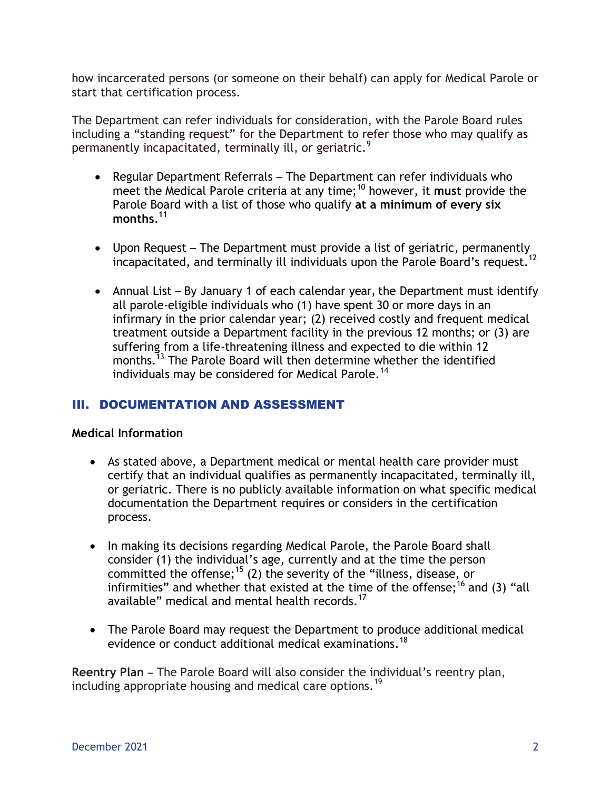how incarcerated persons (or someone on their behalf) can apply for Medical Parole or start that certification process.

The Department can refer individuals for consideration, with the Parole Board rules including a "standing request" for the Department to refer those who may qualify as permanently incapacitated, terminally ill, or geriatric.<sup>9</sup>

- Regular Department Referrals The Department can refer individuals who meet the Medical Parole criteria at any time;<sup>10</sup> however, it **must** provide the Parole Board with a list of those who qualify **at a minimum of every six months***.* **11**
- Upon Request The Department must provide a list of geriatric, permanently incapacitated, and terminally ill individuals upon the Parole Board's request.<sup>12</sup>
- Annual List By January 1 of each calendar year, the Department must identify all parole-eligible individuals who (1) have spent 30 or more days in an infirmary in the prior calendar year; (2) received costly and frequent medical treatment outside a Department facility in the previous 12 months; or (3) are suffering from a life-threatening illness and expected to die within 12 months.<sup>13</sup> The Parole Board will then determine whether the identified individuals may be considered for Medical Parole.<sup>14</sup>

#### III. DOCUMENTATION AND ASSESSMENT

#### **Medical Information**

- As stated above, a Department medical or mental health care provider must certify that an individual qualifies as permanently incapacitated, terminally ill, or geriatric. There is no publicly available information on what specific medical documentation the Department requires or considers in the certification process.
- In making its decisions regarding Medical Parole, the Parole Board shall consider (1) the individual's age, currently and at the time the person committed the offense;<sup>15</sup> (2) the severity of the "illness, disease, or infirmities" and whether that existed at the time of the offense;<sup>16</sup> and (3) "all available" medical and mental health records.<sup>17</sup>
- The Parole Board may request the Department to produce additional medical evidence or conduct additional medical examinations.<sup>18</sup>

**Reentry Plan** – The Parole Board will also consider the individual's reentry plan, including appropriate housing and medical care options.<sup>19</sup>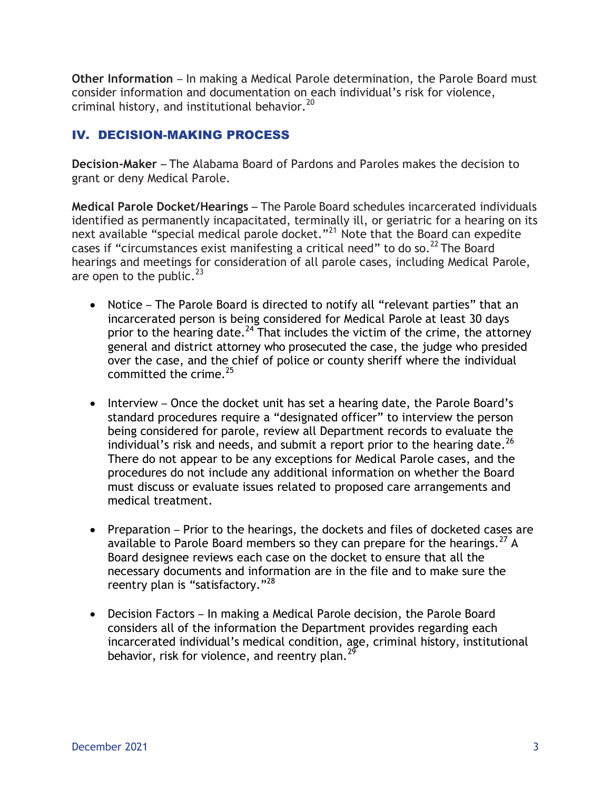**Other Information** – In making a Medical Parole determination, the Parole Board must consider information and documentation on each individual's risk for violence, criminal history, and institutional behavior. 20

### IV. DECISION-MAKING PROCESS

**Decision-Maker** – The Alabama Board of Pardons and Paroles makes the decision to grant or deny Medical Parole.

**Medical Parole Docket/Hearings** – The Parole Board schedules incarcerated individuals identified as permanently incapacitated, terminally ill, or geriatric for a hearing on its next available "special medical parole docket."<sup>21</sup> Note that the Board can expedite cases if "circumstances exist manifesting a critical need" to do so.<sup>22</sup> The Board hearings and meetings for consideration of all parole cases, including Medical Parole, are open to the public.  $23$ 

- Notice The Parole Board is directed to notify all "relevant parties" that an incarcerated person is being considered for Medical Parole at least 30 days prior to the hearing date.<sup>24</sup> That includes the victim of the crime, the attorney general and district attorney who prosecuted the case, the judge who presided over the case, and the chief of police or county sheriff where the individual committed the crime. $^{25}$
- Interview Once the docket unit has set a hearing date, the Parole Board's standard procedures require a "designated officer" to interview the person being considered for parole, review all Department records to evaluate the individual's risk and needs, and submit a report prior to the hearing date.<sup>26</sup> There do not appear to be any exceptions for Medical Parole cases, and the procedures do not include any additional information on whether the Board must discuss or evaluate issues related to proposed care arrangements and medical treatment.
- Preparation Prior to the hearings, the dockets and files of docketed cases are available to Parole Board members so they can prepare for the hearings.<sup>27</sup> A Board designee reviews each case on the docket to ensure that all the necessary documents and information are in the file and to make sure the reentry plan is "satisfactory."<sup>28</sup>
- Decision Factors In making a Medical Parole decision, the Parole Board considers all of the information the Department provides regarding each incarcerated individual's medical condition, age, criminal history, institutional behavior, risk for violence, and reentry plan.<sup>29</sup>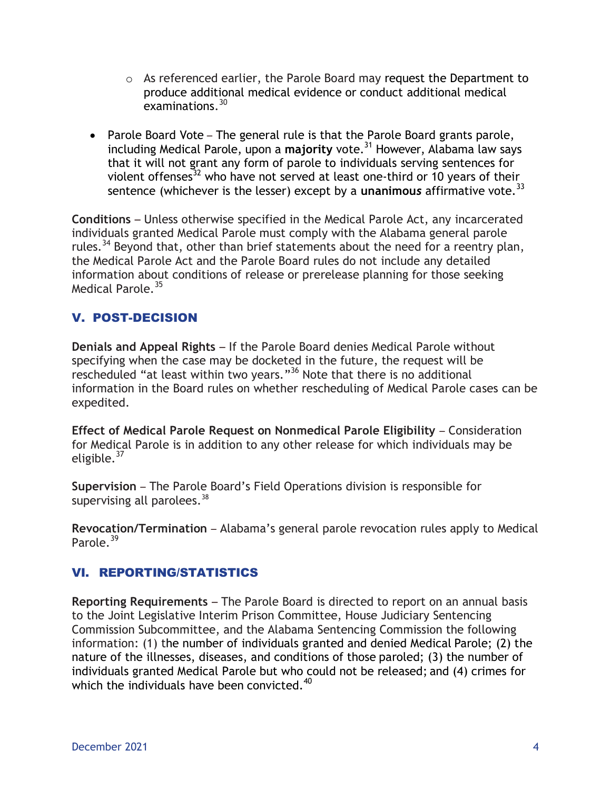- o As referenced earlier, the Parole Board may request the Department to produce additional medical evidence or conduct additional medical  $examinations.<sup>30</sup>$
- Parole Board Vote The general rule is that the Parole Board grants parole, including Medical Parole, upon a **majority** vote.<sup>31</sup> However, Alabama law says that it will not grant any form of parole to individuals serving sentences for violent offenses<sup>32</sup> who have not served at least one-third or 10 years of their sentence (whichever is the lesser) except by a unanimous affirmative vote.<sup>33</sup>

**Conditions** – Unless otherwise specified in the Medical Parole Act, any incarcerated individuals granted Medical Parole must comply with the Alabama general parole rules.<sup>34</sup> Beyond that, other than brief statements about the need for a reentry plan, the Medical Parole Act and the Parole Board rules do not include any detailed information about conditions of release or prerelease planning for those seeking Medical Parole.<sup>35</sup>

## V. POST-DECISION

**Denials and Appeal Rights** – If the Parole Board denies Medical Parole without specifying when the case may be docketed in the future, the request will be rescheduled "at least within two years."<sup>36</sup> Note that there is no additional information in the Board rules on whether rescheduling of Medical Parole cases can be expedited.

**Effect of Medical Parole Request on Nonmedical Parole Eligibility** – Consideration for Medical Parole is in addition to any other release for which individuals may be eligible. $37$ 

**Supervision** – The Parole Board's Field Operations division is responsible for supervising all parolees.  $^{38}$ 

**Revocation/Termination** – Alabama's general parole revocation rules apply to Medical Parole  $39$ 

## VI. REPORTING/STATISTICS

**Reporting Requirements** – The Parole Board is directed to report on an annual basis to the Joint Legislative Interim Prison Committee, House Judiciary Sentencing Commission Subcommittee, and the Alabama Sentencing Commission the following information: (1) the number of individuals granted and denied Medical Parole; (2) the nature of the illnesses, diseases, and conditions of those paroled; (3) the number of individuals granted Medical Parole but who could not be released; and (4) crimes for which the individuals have been convicted. $40<sup>40</sup>$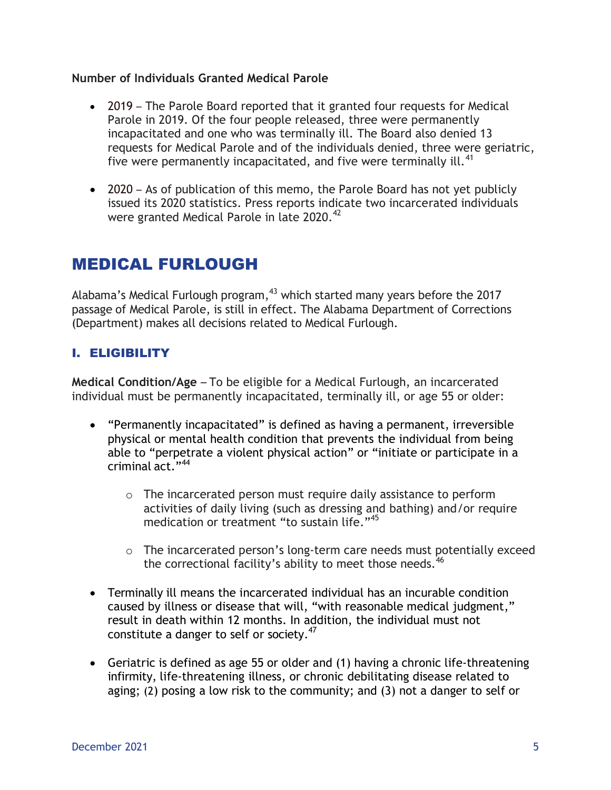#### **Number of Individuals Granted Medical Parole**

- 2019 The Parole Board reported that it granted four requests for Medical Parole in 2019. Of the four people released, three were permanently incapacitated and one who was terminally ill. The Board also denied 13 requests for Medical Parole and of the individuals denied, three were geriatric, five were permanently incapacitated, and five were terminally ill.<sup>41</sup>
- 2020 As of publication of this memo, the Parole Board has not yet publicly issued its 2020 statistics. Press reports indicate two incarcerated individuals were granted Medical Parole in late 2020.<sup>42</sup>

# MEDICAL FURLOUGH

Alabama's Medical Furlough program,  $43$  which started many years before the 2017 passage of Medical Parole, is still in effect. The Alabama Department of Corrections (Department) makes all decisions related to Medical Furlough.

### I. ELIGIBILITY

**Medical Condition/Age** – To be eligible for a Medical Furlough, an incarcerated individual must be permanently incapacitated, terminally ill, or age 55 or older:

- "Permanently incapacitated" is defined as having a permanent, irreversible physical or mental health condition that prevents the individual from being able to "perpetrate a violent physical action" or "initiate or participate in a criminal act."<sup>44</sup>
	- o The incarcerated person must require daily assistance to perform activities of daily living (such as dressing and bathing) and/or require medication or treatment "to sustain life."<sup>45</sup>
	- o The incarcerated person's long-term care needs must potentially exceed the correctional facility's ability to meet those needs. $46$
- Terminally ill means the incarcerated individual has an incurable condition caused by illness or disease that will, "with reasonable medical judgment," result in death within 12 months. In addition, the individual must not constitute a danger to self or society.<sup>47</sup>
- Geriatric is defined as age 55 or older and (1) having a chronic life-threatening infirmity, life-threatening illness, or chronic debilitating disease related to aging; (2) posing a low risk to the community; and (3) not a danger to self or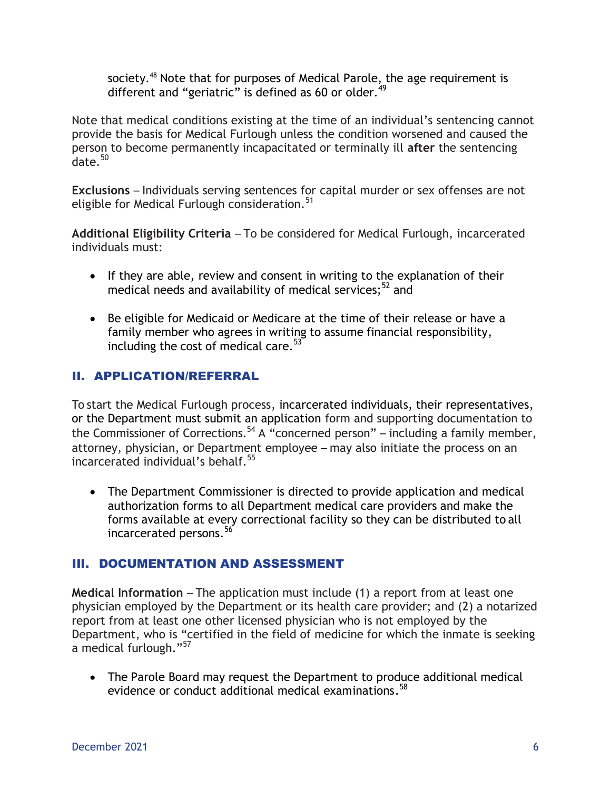society.<sup>48</sup> Note that for purposes of Medical Parole, the age requirement is different and "geriatric" is defined as 60 or older. $49$ 

Note that medical conditions existing at the time of an individual's sentencing cannot provide the basis for Medical Furlough unless the condition worsened and caused the person to become permanently incapacitated or terminally ill **after** the sentencing  $\dots$ date  $^{50}$ 

**Exclusions** – Individuals serving sentences for capital murder or sex offenses are not eligible for Medical Furlough consideration.<sup>51</sup>

**Additional Eligibility Criteria** – To be considered for Medical Furlough, incarcerated individuals must:

- If they are able, review and consent in writing to the explanation of their medical needs and availability of medical services;  $52$  and
- Be eligible for Medicaid or Medicare at the time of their release or have a family member who agrees in writing to assume financial responsibility, including the cost of medical care.<sup>53</sup>

### II. APPLICATION/REFERRAL

To start the Medical Furlough process, incarcerated individuals, their representatives, or the Department must submit an application form and supporting documentation to the Commissioner of Corrections.<sup>54</sup> A "concerned person" – including a family member, attorney, physician, or Department employee – may also initiate the process on an incarcerated individual's behalf. 55

 The Department Commissioner is directed to provide application and medical authorization forms to all Department medical care providers and make the forms available at every correctional facility so they can be distributed to all incarcerated persons. 56

#### III. DOCUMENTATION AND ASSESSMENT

**Medical Information** – The application must include (1) a report from at least one physician employed by the Department or its health care provider; and (2) a notarized report from at least one other licensed physician who is not employed by the Department, who is "certified in the field of medicine for which the inmate is seeking a medical furlough."<sup>57</sup>

 The Parole Board may request the Department to produce additional medical evidence or conduct additional medical examinations. 58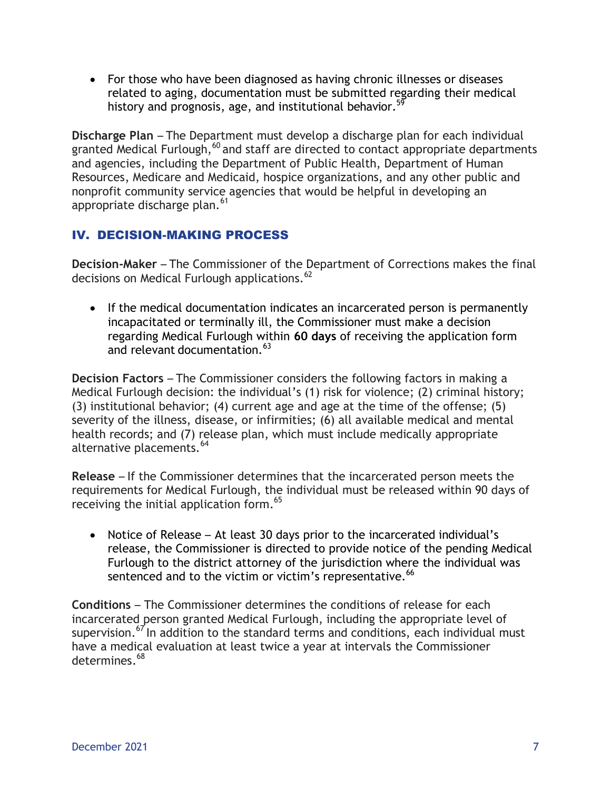For those who have been diagnosed as having chronic illnesses or diseases related to aging, documentation must be submitted regarding their medical history and prognosis, age, and institutional behavior.<sup>59</sup>

**Discharge Plan** – The Department must develop a discharge plan for each individual granted Medical Furlough, $60$  and staff are directed to contact appropriate departments and agencies, including the Department of Public Health, Department of Human Resources, Medicare and Medicaid, hospice organizations, and any other public and nonprofit community service agencies that would be helpful in developing an appropriate discharge plan.<sup>61</sup>

## IV. DECISION-MAKING PROCESS

**Decision-Maker** – The Commissioner of the Department of Corrections makes the final decisions on Medical Furlough applications.<sup>62</sup>

• If the medical documentation indicates an incarcerated person is permanently incapacitated or terminally ill, the Commissioner must make a decision regarding Medical Furlough within **60 days** of receiving the application form and relevant documentation.<sup>63</sup>

**Decision Factors** – The Commissioner considers the following factors in making a Medical Furlough decision: the individual's (1) risk for violence; (2) criminal history; (3) institutional behavior; (4) current age and age at the time of the offense; (5) severity of the illness, disease, or infirmities; (6) all available medical and mental health records; and (7) release plan, which must include medically appropriate alternative placements.<sup>64</sup>

**Release** – If the Commissioner determines that the incarcerated person meets the requirements for Medical Furlough, the individual must be released within 90 days of receiving the initial application form.<sup>65</sup>

• Notice of Release – At least 30 days prior to the incarcerated individual's release, the Commissioner is directed to provide notice of the pending Medical Furlough to the district attorney of the jurisdiction where the individual was sentenced and to the victim or victim's representative.<sup>66</sup>

**Conditions** – The Commissioner determines the conditions of release for each incarcerated person granted Medical Furlough, including the appropriate level of supervision.<sup>67</sup> In addition to the standard terms and conditions, each individual must have a medical evaluation at least twice a year at intervals the Commissioner determines. 68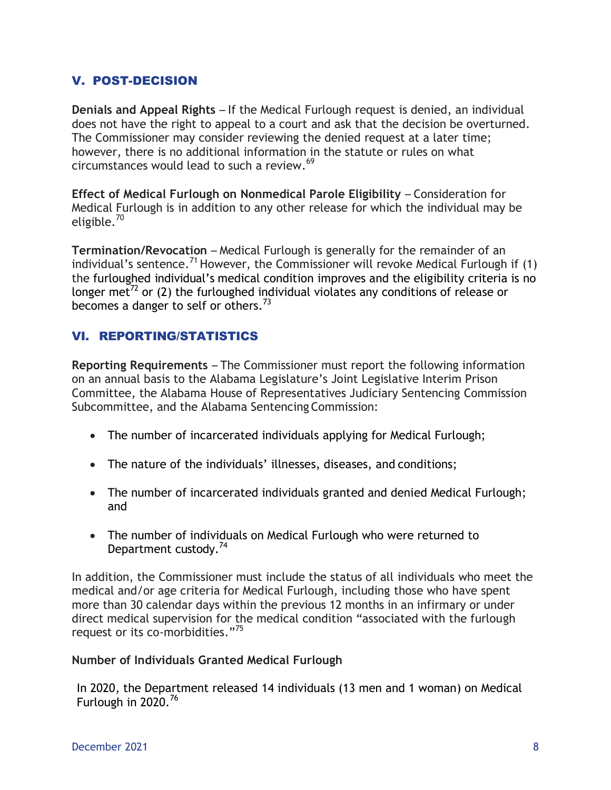### V. POST-DECISION

**Denials and Appeal Rights** – If the Medical Furlough request is denied, an individual does not have the right to appeal to a court and ask that the decision be overturned. The Commissioner may consider reviewing the denied request at a later time; however, there is no additional information in the statute or rules on what circumstances would lead to such a review. 69

**Effect of Medical Furlough on Nonmedical Parole Eligibility** – Consideration for Medical Furlough is in addition to any other release for which the individual may be eligible.<sup>70</sup>

**Termination/Revocation** – Medical Furlough is generally for the remainder of an individual's sentence.<sup>71</sup> However, the Commissioner will revoke Medical Furlough if (1) the furloughed individual's medical condition improves and the eligibility criteria is no longer met<sup>72</sup> or (2) the furloughed individual violates any conditions of release or becomes a danger to self or others.<sup>73</sup>

### VI. REPORTING/STATISTICS

**Reporting Requirements** – The Commissioner must report the following information on an annual basis to the Alabama Legislature's Joint Legislative Interim Prison Committee, the Alabama House of Representatives Judiciary Sentencing Commission Subcommittee, and the Alabama Sentencing Commission:

- The number of incarcerated individuals applying for Medical Furlough;
- The nature of the individuals' illnesses, diseases, and conditions;
- The number of incarcerated individuals granted and denied Medical Furlough; and
- The number of individuals on Medical Furlough who were returned to Department custody.<sup>74</sup>

In addition, the Commissioner must include the status of all individuals who meet the medical and/or age criteria for Medical Furlough, including those who have spent more than 30 calendar days within the previous 12 months in an infirmary or under direct medical supervision for the medical condition "associated with the furlough request or its co-morbidities."<sup>75</sup>

#### **Number of Individuals Granted Medical Furlough**

In 2020, the Department released 14 individuals (13 men and 1 woman) on Medical Furlough in  $2020.<sup>76</sup>$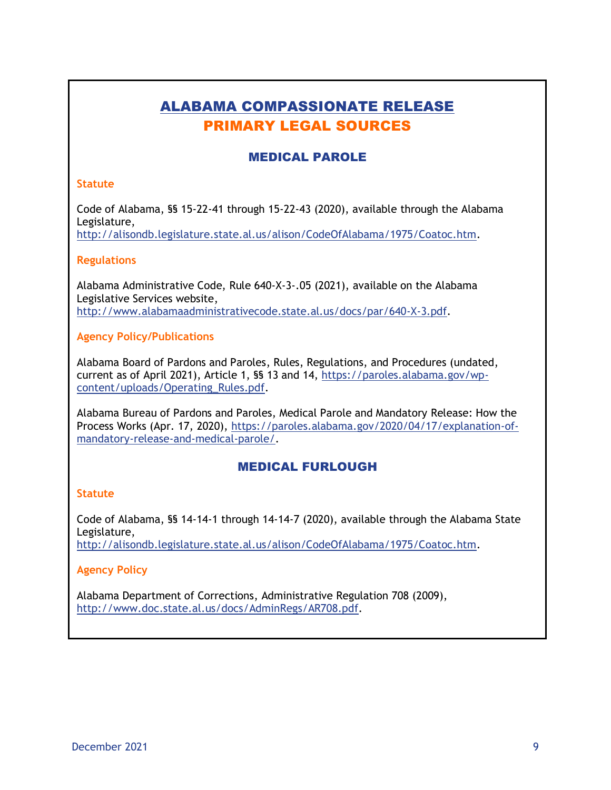## ALABAMA COMPASSIONATE RELEASE PRIMARY LEGAL SOURCES

#### MEDICAL PAROLE

#### **Statute**

Code of Alabama, §§ 15-22-41 through 15-22-43 (2020), available through the Alabama Legislature,

[http://alisondb.legislature.state.al.us/alison/CodeOfAlabama/1975/Coatoc.htm.](http://alisondb.legislature.state.al.us/alison/CodeOfAlabama/1975/Coatoc.htm)

#### **Regulations**

Alabama Administrative Code, Rule 640-X-3-.05 (2021), available on the Alabama Legislative Services website, [http://www.alabamaadministrativecode.state.al.us/docs/par/640-X-3.pdf.](http://www.alabamaadministrativecode.state.al.us/docs/par/640-X-3.pdf)

#### **Agency Policy/Publications**

Alabama Board of Pardons and Paroles, Rules, Regulations, and Procedures (undated, current as of April 2021), Article 1, §§ 13 and 14, [https://paroles.alabama.gov/wp](https://paroles.alabama.gov/wp-content/uploads/Operating_Rules.pdf)[content/uploads/Operating\\_Rules.pdf.](https://paroles.alabama.gov/wp-content/uploads/Operating_Rules.pdf)

Alabama Bureau of Pardons and Paroles, Medical Parole and Mandatory Release: How the Process Works (Apr. 17, 2020), [https://paroles.alabama.gov/2020/04/17/explanation-of](https://paroles.alabama.gov/2020/04/17/explanation-of-mandatory-release-and-medical-parole/)[mandatory-release-and-medical-parole/.](https://paroles.alabama.gov/2020/04/17/explanation-of-mandatory-release-and-medical-parole/)

#### MEDICAL FURLOUGH

#### **Statute**

Code of Alabama, §§ 14-14-1 through 14-14-7 (2020), available through the Alabama State Legislature, [http://alisondb.legislature.state.al.us/alison/CodeOfAlabama/1975/Coatoc.htm.](http://alisondb.legislature.state.al.us/alison/CodeOfAlabama/1975/Coatoc.htm)

#### **Agency Policy**

Alabama Department of Corrections, Administrative Regulation 708 (2009), [http://www.doc.state.al.us/docs/AdminRegs/AR708.pdf.](http://www.doc.state.al.us/docs/AdminRegs/AR708.pdf)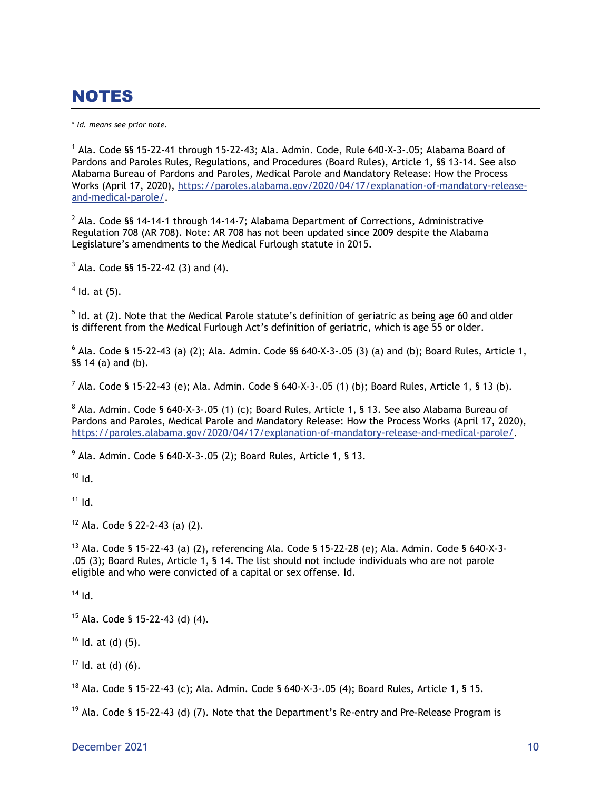# NOTES

\* *Id. means see prior note.*

 $^1$  Ala. Code §§ 15-22-41 through 15-22-43; Ala. Admin. Code, Rule 640-X-3-.05; Alabama Board of Pardons and Paroles Rules, Regulations, and Procedures (Board Rules), Article 1, §§ 13-14. See also Alabama Bureau of Pardons and Paroles, Medical Parole and Mandatory Release: How the Process Works (April 17, 2020), [https://paroles.alabama.gov/2020/04/17/explanation-of-mandatory-release](https://paroles.alabama.gov/2020/04/17/explanation-of-mandatory-release-and-medical-parole/)[and-medical-parole/.](https://paroles.alabama.gov/2020/04/17/explanation-of-mandatory-release-and-medical-parole/)

 $2$  Ala. Code §§ 14-14-1 through 14-14-7; Alabama Department of Corrections, Administrative Regulation 708 (AR 708). Note: AR 708 has not been updated since 2009 despite the Alabama Legislature's amendments to the Medical Furlough statute in 2015.

 $3$  Ala. Code §§ 15-22-42 (3) and (4).

 $<sup>4</sup>$  ld. at (5).</sup>

 $<sup>5</sup>$  Id. at (2). Note that the Medical Parole statute's definition of geriatric as being age 60 and older</sup> is different from the Medical Furlough Act's definition of geriatric, which is age 55 or older.

 $^6$  Ala. Code § 15-22-43 (a) (2); Ala. Admin. Code §§ 640-X-3-.05 (3) (a) and (b); Board Rules, Article 1, §§ 14 (a) and (b).

<sup>7</sup> Ala. Code § 15-22-43 (e); Ala. Admin. Code § 640-X-3-.05 (1) (b); Board Rules, Article 1, § 13 (b).

 $^8$  Ala. Admin. Code § 640-X-3-.05 (1) (c); Board Rules, Article 1, § 13. See also Alabama Bureau of Pardons and Paroles, Medical Parole and Mandatory Release: How the Process Works (April 17, 2020), [https://paroles.alabama.gov/2020/04/17/explanation-of-mandatory-release-and-medical-parole/.](https://paroles.alabama.gov/2020/04/17/explanation-of-mandatory-release-and-medical-parole/)

 $^{9}$  Ala. Admin. Code § 640-X-3-.05 (2); Board Rules, Article 1, § 13.

 $10$  Id.

 $11$  Id.

<sup>12</sup> Ala. Code § 22-2-43 (a) (2).

<sup>13</sup> Ala. Code § 15-22-43 (a) (2), referencing Ala. Code § 15-22-28 (e); Ala. Admin. Code § 640-X-3- .05 (3); Board Rules, Article 1, § 14. The list should not include individuals who are not parole eligible and who were convicted of a capital or sex offense. Id.

 $14$  Id.

 $15$  Ala. Code § 15-22-43 (d) (4).

 $16$  Id. at (d) (5).

 $17$  Id. at (d) (6).

<sup>18</sup> Ala. Code § 15-22-43 (c); Ala. Admin. Code § 640-X-3-.05 (4); Board Rules, Article 1, § 15.

 $19$  Ala. Code § 15-22-43 (d) (7). Note that the Department's Re-entry and Pre-Release Program is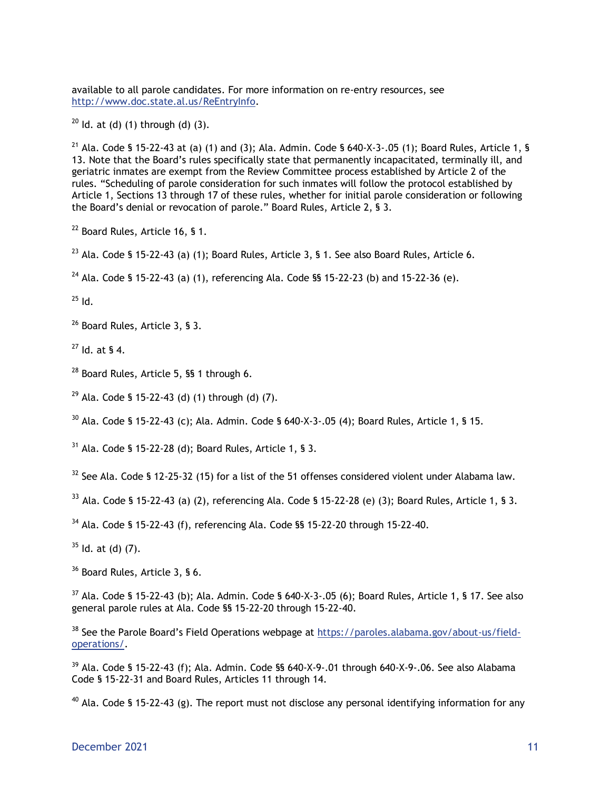available to all parole candidates. For more information on re-entry resources, see <http://www.doc.state.al.us/ReEntryInfo.>

 $20$  Id. at (d) (1) through (d) (3).

<sup>21</sup> Ala. Code § 15-22-43 at (a) (1) and (3); Ala. Admin. Code § 640-X-3-.05 (1); Board Rules, Article 1, § 13. Note that the Board's rules specifically state that permanently incapacitated, terminally ill, and geriatric inmates are exempt from the Review Committee process established by Article 2 of the rules. "Scheduling of parole consideration for such inmates will follow the protocol established by Article 1, Sections 13 through 17 of these rules, whether for initial parole consideration or following the Board's denial or revocation of parole." Board Rules, Article 2, § 3.

<sup>22</sup> Board Rules, Article 16, § 1.

 $^{23}$  Ala. Code § 15-22-43 (a) (1); Board Rules, Article 3, § 1. See also Board Rules, Article 6.

<sup>24</sup> Ala. Code § 15-22-43 (a) (1), referencing Ala. Code §§ 15-22-23 (b) and 15-22-36 (e).

 $^{25}$  Id.

<sup>26</sup> Board Rules, Article 3, § 3.

 $^{27}$  Id. at § 4.

<sup>28</sup> Board Rules, Article 5, §§ 1 through 6.

 $29$  Ala. Code § 15-22-43 (d) (1) through (d) (7).

 $30$  Ala. Code § 15-22-43 (c); Ala. Admin. Code § 640-X-3-.05 (4); Board Rules, Article 1, § 15.

 $31$  Ala. Code § 15-22-28 (d): Board Rules, Article 1, § 3.

 $32$  See Ala. Code § 12-25-32 (15) for a list of the 51 offenses considered violent under Alabama law.

 $33$  Ala. Code § 15-22-43 (a) (2), referencing Ala. Code § 15-22-28 (e) (3); Board Rules, Article 1, § 3.

<sup>34</sup> Ala. Code § 15-22-43 (f), referencing Ala. Code §§ 15-22-20 through 15-22-40.

 $35$  Id. at (d) (7).

<sup>36</sup> Board Rules, Article 3, § 6.

 $37$  Ala. Code § 15-22-43 (b); Ala. Admin. Code § 640-X-3-.05 (6); Board Rules, Article 1, § 17. See also general parole rules at Ala. Code §§ 15-22-20 through 15-22-40.

<sup>38</sup> See the Parole Board's Field Operations webpage at [https://paroles.alabama.gov/about-us/field](https://paroles.alabama.gov/about-us/field-operations/)[operations/.](https://paroles.alabama.gov/about-us/field-operations/)

 $39$  Ala. Code § 15-22-43 (f); Ala. Admin. Code §§ 640-X-9-.01 through 640-X-9-.06. See also Alabama Code § 15-22-31 and Board Rules, Articles 11 through 14.

<sup>40</sup> Ala. Code § 15-22-43 (g). The report must not disclose any personal identifying information for any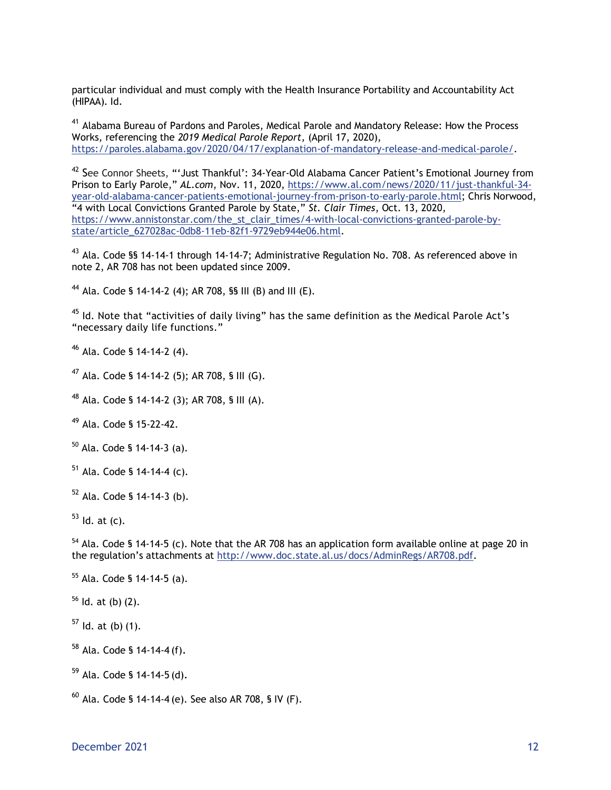particular individual and must comply with the Health Insurance Portability and Accountability Act (HIPAA). Id.

<sup>41</sup> Alabama Bureau of Pardons and Paroles, Medical Parole and Mandatory Release: How the Process Works, referencing the *2019 Medical Parole Report,* (April 17, 2020), [https://paroles.alabama.gov/2020/04/17/explanation-of-mandatory-release-and-medical-parole/.](https://paroles.alabama.gov/2020/04/17/explanation-of-mandatory-release-and-medical-parole/)

<sup>42</sup> See Connor Sheets, "'Just Thankful': 34-Year-Old Alabama Cancer Patient's Emotional Journey from Prison to Early Parole," *AL.com*, Nov. 11, 2020, [https://www.al.com/news/2020/11/just-thankful-34](https://www.al.com/news/2020/11/just-thankful-34-year-old-alabama-cancer-patients-emotional-journey-from-prison-to-early-parole.html) [year-old-alabama-cancer-patients-emotional-journey-from-prison-to-early-parole.html;](https://www.al.com/news/2020/11/just-thankful-34-year-old-alabama-cancer-patients-emotional-journey-from-prison-to-early-parole.html) Chris Norwood, "4 with Local Convictions Granted Parole by State," *St. Clair Times*, Oct. 13, 2020, [https://www.annistonstar.com/the\\_st\\_clair\\_times/4-with-local-convictions-granted-parole-by](https://www.annistonstar.com/the_st_clair_times/4-with-local-convictions-granted-parole-by-state/article_627028ac-0db8-11eb-82f1-9729eb944e06.html)[state/article\\_627028ac-0db8-11eb-82f1-9729eb944e06.html.](https://www.annistonstar.com/the_st_clair_times/4-with-local-convictions-granted-parole-by-state/article_627028ac-0db8-11eb-82f1-9729eb944e06.html)

 $^{43}$  Ala. Code §§ 14-14-1 through 14-14-7; Administrative Regulation No. 708. As referenced above in note 2, AR 708 has not been updated since 2009.

<sup>44</sup> Ala. Code § 14-14-2 (4); AR 708, §§ III (B) and III (E).

 $45$  Id. Note that "activities of daily living" has the same definition as the Medical Parole Act's "necessary daily life functions."

<sup>46</sup> Ala. Code § 14-14-2 (4).

<sup>47</sup> Ala. Code § 14-14-2 (5): AR 708, § III (G).

<sup>48</sup> Ala. Code § 14-14-2 (3); AR 708, § III (A).

<sup>49</sup> Ala. Code § 15-22-42.

 $50$  Ala. Code § 14-14-3 (a).

 $51$  Ala. Code § 14-14-4 (c).

 $52$  Ala. Code § 14-14-3 (b).

 $53$  ld. at (c).

<sup>54</sup> Ala. Code § 14-14-5 (c). Note that the AR 708 has an application form available online at page 20 in the regulation's attachments at [http://www.doc.state.al.us/docs/AdminRegs/AR708.pdf.](http://www.doc.state.al.us/docs/AdminRegs/AR708.pdf)

<sup>55</sup> Ala. Code § 14-14-5 (a).

 $56$  Id. at (b) (2).

 $57$  Id. at (b) (1).

<sup>58</sup> Ala. Code § 14-14-4 (f).

 $59$  Ala. Code § 14-14-5 (d).

 $^{60}$  Ala. Code § 14-14-4 (e). See also AR 708, § IV (F).